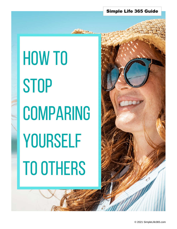#### Simple Life 365 Guide

# HOW TO **STOP COMPARING** YOURSELF **TO OTHERS**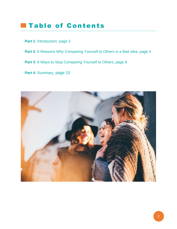## **Table of Contents**

- Part 1: [Introduction,](#page-2-0) page 3
- Part 2: [6 Reasons Why Comparing Yourself to Others](#page-3-0) is a Bad Idea, page 4
- **Part 3**[: 8 Ways to Stop Comparing Yourself](#page-5-0) to Others, page 6
- **Part 4**[: Summary](#page-9-0), page 10

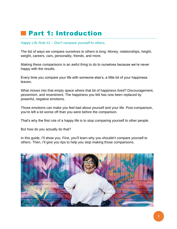## <span id="page-2-0"></span>Part 1: Introduction

*Happy Life Rule #1 – Don't compare yourself to others.* 

The list of ways we compare ourselves to others is long: Money, relationships, height, weight, careers, cars, personality, friends, and more.

Making these comparisons is an awful thing to do to ourselves because we're never happy with the results.

Every time you compare your life with someone else's, a little bit of your happiness leaves.

What moves into that empty space where that bit of happiness lived? Discouragement, pessimism, and resentment. The happiness you felt has now been replaced by powerful, negative emotions.

Those emotions can make you feel bad about yourself and your life. Post-comparison, you're left a lot worse off than you were before the comparison.

That's why the first rule of a happy life is to stop comparing yourself to other people.

But how do you actually do that?

In this guide, I'll show you. First, you'll learn why you shouldn't compare yourself to others. Then, I'll give you tips to help you stop making those comparisons.

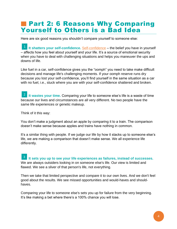## <span id="page-3-0"></span>**Part 2: 6 Reasons Why Comparing** Yourself to Others is a Bad Idea

Here are six good reasons you shouldn't compare yourself to someone else:

**It shatters your self-confidence.** [Self-confidence](https://positivepsychology.com/self-confidence/) – the belief you have in yourself – affects how you feel about yourself and your life. It's a source of emotional security when you have to deal with challenging situations and helps you maneuver the ups and downs of life.

Like fuel in a car, self-confidence gives you the "oomph" you need to take make difficult decisions and manage life's challenging moments. If your oomph reserve runs dry because you lost your self-confidence, you'll find yourself in the same situation as a car with no fuel, i.e., stuck where you are with your self-confidence shattered and broken.

<sup>2</sup> It wastes your time. Comparing your life to someone else's life is a waste of time because our lives and circumstances are all very different. No two people have the same life experiences or genetic makeup.

Think of it this way:

You don't make a judgment about an apple by comparing it to a train. The comparison doesn't make sense because apples and trains have nothing in common.

It's a similar thing with people. If we judge our life by how it stacks up to someone else's life, we are making a comparison that doesn't make sense. We all experience life differently.

**It sets you up to see your life experiences as failures, instead of successes.** We are always outsiders looking in on someone else's life. Our view is limited and flawed. We see a sliver of that person's life, not everything. 3

Then we take that limited perspective and compare it to our own lives. And we don't feel good about the results. We see missed opportunities and would-haves and shouldhaves.

Comparing your life to someone else's sets you up for failure from the very beginning. It's like making a bet where there's a 100% chance you will lose.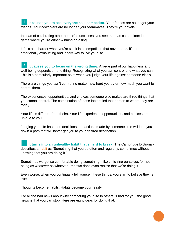**It causes you to see everyone as a competitor.** Your friends are no longer your friends. Your coworkers are no longer your teammates. They're your rivals. 4

Instead of celebrating other people's successes, you see them as competitors in a game where you're either winning or losing.

Life is a lot harder when you're stuck in a competition that never ends. It's an emotionally exhausting and lonely way to live your life.

<sup>5</sup> It causes you to focus on the wrong thing. A large part of our happiness and well-being depends on one thing: Recognizing what you can control and what you can't. This is a particularly important point when you judge your life against someone else's.

There are things you can't control no matter how hard you try or how much you want to control them.

The experiences, opportunities, and choices someone else makes are three things that you cannot control. The combination of those factors led that person to where they are today.

Your life is different from theirs. Your life experience, opportunities, and choices are unique to you.

Judging your life based on decisions and actions made by someone else will lead you down a path that will never get you to your desired destination.

<sup>6</sup> It turns into an unhealthy habit that's hard to break. The Cambridge Dictionary describes a [habit](https://www.merriam-webster.com/dictionary/habit) as "Something that you do often and regularly, sometimes without knowing that you are doing it."

Sometimes we get so comfortable doing something - like criticizing ourselves for not being as whatever as whoever - that we don't even realize that we're doing it.

Even worse, when you continually tell yourself these things, you start to believe they're true.

Thoughts become habits. Habits become your reality.

For all the bad news about why comparing your life to others is bad for you, the good news is that you can stop. Here are eight ideas for doing that.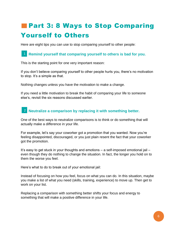# <span id="page-5-0"></span>**Part 3: 8 Ways to Stop Comparing** Yourself to Others

Here are eight tips you can use to stop comparing yourself to other people:

#### **Remind yourself that comparing yourself to others is bad for you.** 1

This is the starting point for one very important reason:

If you don't believe comparing yourself to other people hurts you, there's no motivation to stop. It's a simple as that.

Nothing changes unless you have the motivation to make a change.

If you need a little motivation to break the habit of comparing your life to someone else's, revisit the six reasons discussed earlier.

#### **Neutralize a comparison by replacing it with something better.** 2

One of the best ways to neutralize comparisons is to think or do something that will actually make a difference in your life.

For example, let's say your coworker got a promotion that you wanted. Now you're feeling disappointed, discouraged, or you just plain resent the fact that your coworker got the promotion.

It's easy to get stuck in your thoughts and emotions – a self-imposed emotional jail – even though they do nothing to change the situation. In fact, the longer you hold on to them the worse you feel.

Here's what to do to break out of your emotional jail:

Instead of focusing on how you feel, focus on what you can do. In this situation, maybe you make a list of what you need (skills, training, experience) to move up. Then get to work on your list.

Replacing a comparison with something better shifts your focus and energy to something that will make a positive difference in your life.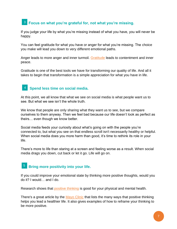#### **Focus on what you're grateful for, not what you're missing.** 3

If you judge your life by what you're missing instead of what you have, you will never be happy.

You can feel gratitude for what you have or anger for what you're missing. The choice you make will lead you down to very different emotional paths.

Anger leads to more anger and inner turmoil. [Gratitude](https://greatergood.berkeley.edu/video/item/the_power_of_gratitude) leads to contentment and inner peace.

Gratitude is one of the best tools we have for transforming our quality of life. And all it takes to begin that transformation is a simple appreciation for what you have in life.

#### **Spend less time on social media.** 4

At this point, we all know that what we see on social media is what people want us to see. But what we see isn't the whole truth.

We know that people are only sharing what they want us to see, but we compare ourselves to them anyway. Then we feel bad because our life doesn't look as perfect as theirs… even though we know better.

Social media feeds your curiosity about what's going on with the people you're connected to, but what you see on that endless scroll isn't necessarily healthy or helpful. When social media does you more harm than good, it's time to rethink its role in your life.

There's more to life than staring at a screen and feeling worse as a result. When social media drags you down, cut back or let it go. Life will go on.

#### **Bring more positivity into your life.**  5

If you could improve your emotional state by thinking more positive thoughts, would you do it? I would… and I do.

Research shows that *positive thinking* is good for your physical and mental health.

There's a great article by the [Mayo Clinic](https://www.mayoclinic.org/healthy-lifestyle/stress-management/in-depth/positive-thinking/art-20043950) that lists the many ways that positive thinking helps you lead a healthier life. It also gives examples of how to reframe your thinking to be more positive.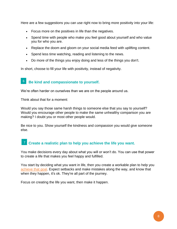Here are a few suggestions you can use right now to bring more positivity into your life:

- Focus more on the positives in life than the negatives.
- Spend time with people who make you feel good about yourself and who value you for who you are.
- Replace the doom and gloom on your social media feed with uplifting content.
- Spend less time watching, reading and listening to the news.
- Do more of the things you enjoy doing and less of the things you don't.

In short, choose to fill your life with positivity, instead of negativity.

#### **Be kind and compassionate to yourself.** 6

We're often harder on ourselves than we are on the people around us.

Think about that for a moment:

Would you say those same harsh things to someone else that you say to yourself? Would you encourage other people to make the same unhealthy comparison you are making? I doubt you or most other people would.

Be nice to you. Show yourself the kindness and compassion you would give someone else.

## **Create a realistic plan to help you achieve the life you want.** 7

You make decisions every day about what you will or won't do. You can use that power to create a life that makes you feel happy and fulfilled.

You start by deciding what you want in life, then you create a workable plan to help you [achieve that goal.](https://www.simplelife365.com/post/tips-for-achieving-your-goals) Expect setbacks and make mistakes along the way, and know that when they happen, it's ok. They're all part of the journey.

Focus on creating the life you want, then make it happen.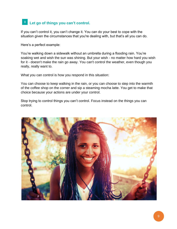#### <sup>8</sup> Let go of things you can't control.

If you can't control it, you can't change it. You can do your best to cope with the situation given the circumstances that you're dealing with, but that's all you can do.

Here's a perfect example:

You're walking down a sidewalk without an umbrella during a flooding rain. You're soaking wet and wish the sun was shining. But your wish - no matter how hard you wish for it - doesn't make the rain go away. You can't control the weather, even though you really, really want to.

What you can control is how you respond in this situation:

You can choose to keep walking in the rain, or you can choose to step into the warmth of the coffee shop on the corner and sip a steaming mocha latte. You get to make that choice because your actions are under your control.

Stop trying to control things you can't control. Focus instead on the things you can control.